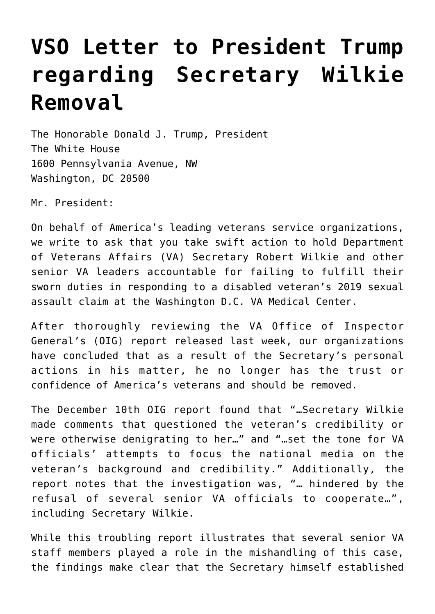## **[VSO Letter to President Trump](https://www.dav.org/learn-more/news/2020/vso-letter-to-president-trump-regarding-secretary-wilkie-removal/) [regarding Secretary Wilkie](https://www.dav.org/learn-more/news/2020/vso-letter-to-president-trump-regarding-secretary-wilkie-removal/) [Removal](https://www.dav.org/learn-more/news/2020/vso-letter-to-president-trump-regarding-secretary-wilkie-removal/)**

The Honorable Donald J. Trump, President The White House 1600 Pennsylvania Avenue, NW Washington, DC 20500

Mr. President:

On behalf of America's leading veterans service organizations, we write to ask that you take swift action to hold Department of Veterans Affairs (VA) Secretary Robert Wilkie and other senior VA leaders accountable for failing to fulfill their sworn duties in responding to a disabled veteran's 2019 sexual assault claim at the Washington D.C. VA Medical Center.

After thoroughly reviewing the VA Office of Inspector General's (OIG) report released last week, our organizations have concluded that as a result of the Secretary's personal actions in his matter, he no longer has the trust or confidence of America's veterans and should be removed.

The December 10th OIG report found that "…Secretary Wilkie made comments that questioned the veteran's credibility or were otherwise denigrating to her…" and "…set the tone for VA officials' attempts to focus the national media on the veteran's background and credibility." Additionally, the report notes that the investigation was, "… hindered by the refusal of several senior VA officials to cooperate…", including Secretary Wilkie.

While this troubling report illustrates that several senior VA staff members played a role in the mishandling of this case, the findings make clear that the Secretary himself established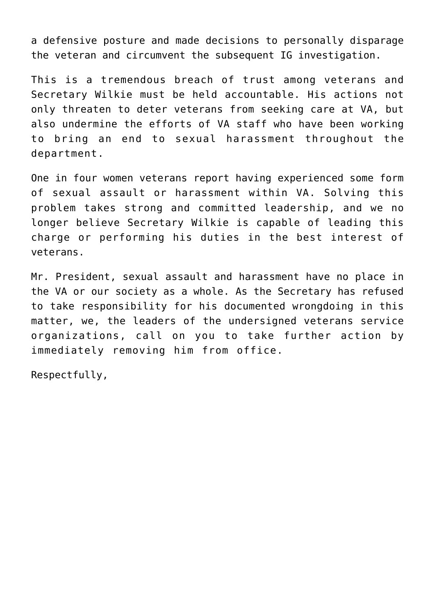a defensive posture and made decisions to personally disparage the veteran and circumvent the subsequent IG investigation.

This is a tremendous breach of trust among veterans and Secretary Wilkie must be held accountable. His actions not only threaten to deter veterans from seeking care at VA, but also undermine the efforts of VA staff who have been working to bring an end to sexual harassment throughout the department.

One in four women veterans report having experienced some form of sexual assault or harassment within VA. Solving this problem takes strong and committed leadership, and we no longer believe Secretary Wilkie is capable of leading this charge or performing his duties in the best interest of veterans.

Mr. President, sexual assault and harassment have no place in the VA or our society as a whole. As the Secretary has refused to take responsibility for his documented wrongdoing in this matter, we, the leaders of the undersigned veterans service organizations, call on you to take further action by immediately removing him from office.

Respectfully,